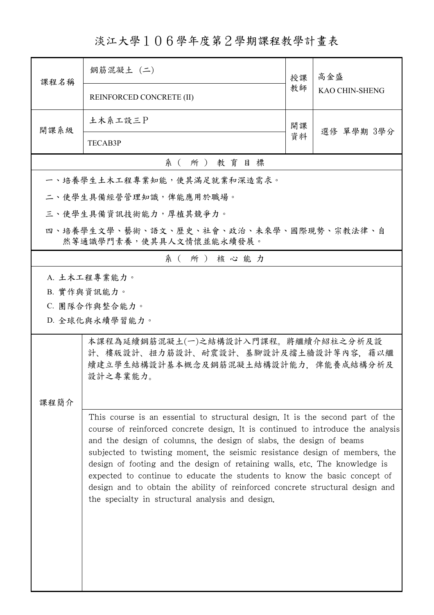## 淡江大學106學年度第2學期課程教學計畫表

| 課程名稱                                                               | 鋼筋混凝土 (二)                                                                                                                                                                                                                                                                                                                                                                                                                                                                                                                                                                                                               | 授課               | 高金盛                   |  |  |
|--------------------------------------------------------------------|-------------------------------------------------------------------------------------------------------------------------------------------------------------------------------------------------------------------------------------------------------------------------------------------------------------------------------------------------------------------------------------------------------------------------------------------------------------------------------------------------------------------------------------------------------------------------------------------------------------------------|------------------|-----------------------|--|--|
|                                                                    | REINFORCED CONCRETE (II)                                                                                                                                                                                                                                                                                                                                                                                                                                                                                                                                                                                                | 教師               | <b>KAO CHIN-SHENG</b> |  |  |
| 開課系級                                                               | 土木系工設三P                                                                                                                                                                                                                                                                                                                                                                                                                                                                                                                                                                                                                 | 開課<br>選修 單學期 3學分 |                       |  |  |
|                                                                    | <b>TECAB3P</b>                                                                                                                                                                                                                                                                                                                                                                                                                                                                                                                                                                                                          | 資料               |                       |  |  |
| 系(所)教育目標                                                           |                                                                                                                                                                                                                                                                                                                                                                                                                                                                                                                                                                                                                         |                  |                       |  |  |
|                                                                    | 一、培養學生土木工程專業知能,使其滿足就業和深造需求。                                                                                                                                                                                                                                                                                                                                                                                                                                                                                                                                                                                             |                  |                       |  |  |
|                                                                    | 二、使學生具備經營管理知識,俾能應用於職場。                                                                                                                                                                                                                                                                                                                                                                                                                                                                                                                                                                                                  |                  |                       |  |  |
|                                                                    | 三、使學生具備資訊技術能力,厚植其競爭力。                                                                                                                                                                                                                                                                                                                                                                                                                                                                                                                                                                                                   |                  |                       |  |  |
| 四、培養學生文學、藝術、語文、歷史、社會、政治、未來學、國際現勢、宗教法律、自<br>然等通識學門素養,使其具人文情懷並能永續發展。 |                                                                                                                                                                                                                                                                                                                                                                                                                                                                                                                                                                                                                         |                  |                       |  |  |
|                                                                    | 系(所)核心能力                                                                                                                                                                                                                                                                                                                                                                                                                                                                                                                                                                                                                |                  |                       |  |  |
| A. 土木工程專業能力。<br>B. 實作與資訊能力。<br>C. 團隊合作與整合能力。<br>D. 全球化與永續學習能力。     |                                                                                                                                                                                                                                                                                                                                                                                                                                                                                                                                                                                                                         |                  |                       |  |  |
| 课程简介                                                               | 本課程為延續鋼筋混凝土(一)之結構設計入門課程。將繼續介紹柱之分析及設<br>計、樓版設計、扭力筋設計、耐震設計、基腳設計及擋土牆設計等內容,藉以繼<br>續建立學生結構設計基本概念及鋼筋混凝土結構設計能力,俾能養成結構分析及<br>設計之專業能力。                                                                                                                                                                                                                                                                                                                                                                                                                                                                                           |                  |                       |  |  |
|                                                                    | This course is an essential to structural design. It is the second part of the<br>course of reinforced concrete design. It is continued to introduce the analysis<br>and the design of columns, the design of slabs, the design of beams<br>subjected to twisting moment, the seismic resistance design of members, the<br>design of footing and the design of retaining walls, etc. The knowledge is<br>expected to continue to educate the students to know the basic concept of<br>design and to obtain the ability of reinforced concrete structural design and<br>the specialty in structural analysis and design. |                  |                       |  |  |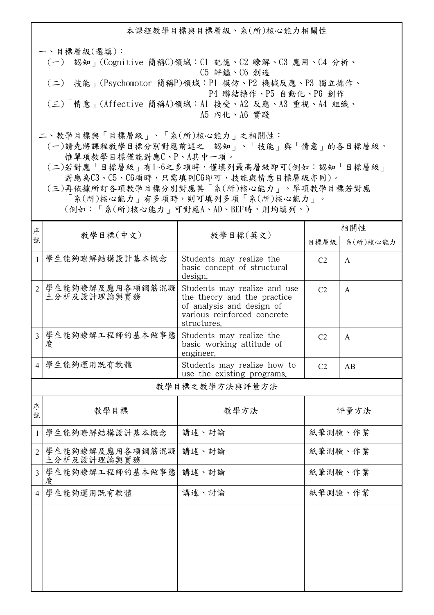本課程教學目標與目標層級、系(所)核心能力相關性

一、目標層級(選填): (一)「認知」(Cognitive 簡稱C)領域:C1 記憶、C2 瞭解、C3 應用、C4 分析、 C5 評鑑、C6 創造 (二)「技能」(Psychomotor 簡稱P)領域:P1 模仿、P2 機械反應、P3 獨立操作、 P4 聯結操作、P5 自動化、P6 創作 (三)「情意」(Affective 簡稱A)領域:A1 接受、A2 反應、A3 重視、A4 組織、 A5 內化、A6 實踐

二、教學目標與「目標層級」、「系(所)核心能力」之相關性:

 (一)請先將課程教學目標分別對應前述之「認知」、「技能」與「情意」的各目標層級, 惟單項教學目標僅能對應C、P、A其中一項。

 (二)若對應「目標層級」有1~6之多項時,僅填列最高層級即可(例如:認知「目標層級」 對應為C3、C5、C6項時,只需填列C6即可,技能與情意目標層級亦同)。

 (三)再依據所訂各項教學目標分別對應其「系(所)核心能力」。單項教學目標若對應 「系(所)核心能力」有多項時,則可填列多項「系(所)核心能力」。

(例如:「系(所)核心能力」可對應A、AD、BEF時,則均填列。)

| 序              |                                | 教學目標(英文)                                                                                                                               | 相關性            |              |  |  |
|----------------|--------------------------------|----------------------------------------------------------------------------------------------------------------------------------------|----------------|--------------|--|--|
| 號              | 教學目標(中文)                       |                                                                                                                                        | 目標層級           | 系(所)核心能力     |  |  |
| $\mathbf{1}$   | 學生能夠瞭解結構設計基本概念                 | Students may realize the<br>basic concept of structural<br>design.                                                                     | C <sub>2</sub> | $\mathsf{A}$ |  |  |
| $\overline{2}$ | 學生能夠瞭解及應用各項鋼筋混凝<br>土分析及設計理論與實務 | Students may realize and use<br>the theory and the practice<br>of analysis and design of<br>various reinforced concrete<br>structures. | C <sub>2</sub> | $\mathsf{A}$ |  |  |
| $\overline{3}$ | 學生能夠瞭解工程師的基本做事態<br>度           | Students may realize the<br>basic working attitude of<br>engineer.                                                                     | C <sub>2</sub> | $\mathsf{A}$ |  |  |
|                | 4 學生能夠運用既有軟體                   | Students may realize how to<br>use the existing programs.                                                                              | C <sub>2</sub> | AB           |  |  |
|                | 教學目標之教學方法與評量方法                 |                                                                                                                                        |                |              |  |  |
| 序<br>號         | 教學目標                           | 教學方法                                                                                                                                   |                | 評量方法         |  |  |
| 1              | 學生能夠瞭解結構設計基本概念                 | 講述、討論                                                                                                                                  | 紙筆測驗、作業        |              |  |  |
| $\overline{2}$ | 學生能夠瞭解及應用各項鋼筋混凝<br>土分析及設計理論與實務 | 講述、討論                                                                                                                                  | 紙筆測驗、作業        |              |  |  |
| $\overline{3}$ | 學生能夠瞭解工程師的基本做事態<br>度           | 講述、討論                                                                                                                                  | 紙筆測驗、作業        |              |  |  |
| $\overline{4}$ | 學生能夠運用既有軟體                     | 講述、討論                                                                                                                                  | 紙筆測驗、作業        |              |  |  |
|                |                                |                                                                                                                                        |                |              |  |  |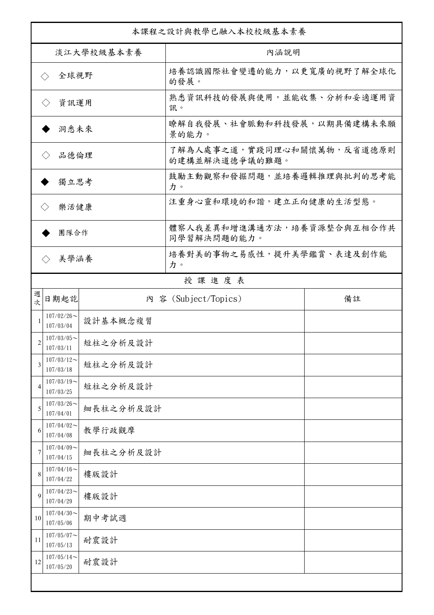| 本課程之設計與教學已融入本校校級基本素養        |                               |           |                                              |    |  |
|-----------------------------|-------------------------------|-----------|----------------------------------------------|----|--|
| 淡江大學校級基本素養                  |                               |           | 內涵說明                                         |    |  |
| 全球視野<br>$\langle \ \rangle$ |                               |           | 培養認識國際社會變遷的能力,以更寬廣的視野了解全球化<br>的發展。           |    |  |
| 資訊運用<br>$\langle \ \rangle$ |                               |           | 熟悉資訊科技的發展與使用,並能收集、分析和妥適運用資<br>訊。             |    |  |
| 洞悉未來                        |                               |           | 瞭解自我發展、社會脈動和科技發展,以期具備建構未來願<br>景的能力。          |    |  |
| 品德倫理                        |                               |           | 了解為人處事之道,實踐同理心和關懷萬物,反省道德原則<br>的建構並解決道德爭議的難題。 |    |  |
| 獨立思考                        |                               |           | 鼓勵主動觀察和發掘問題,並培養邏輯推理與批判的思考能<br>力。             |    |  |
| 樂活健康<br>$\langle \ \rangle$ |                               |           | 注重身心靈和環境的和諧,建立正向健康的生活型態。                     |    |  |
| 團隊合作                        |                               |           | 體察人我差異和增進溝通方法,培養資源整合與互相合作共<br>同學習解決問題的能力。    |    |  |
| 美學涵養<br>$\langle \rangle$   |                               |           | 培養對美的事物之易感性,提升美學鑑賞、表達及創作能<br>力。              |    |  |
|                             |                               |           | 授課進度表                                        |    |  |
| 週<br>坎                      | 日期起訖                          |           | 內 容 (Subject/Topics)                         | 備註 |  |
| 1                           | $107/02/26$ ~<br>107/03/04    | 設計基本概念複習  |                                              |    |  |
| $\overline{2}$              | $107/03/05$ ~<br>107/03/11    | 短柱之分析及設計  |                                              |    |  |
| 3                           | $107/03/12$ ~<br>107/03/18    | 短柱之分析及設計  |                                              |    |  |
| $\overline{4}$              | $107/03/19$ ~<br>107/03/25    | 短柱之分析及設計  |                                              |    |  |
| 5                           | $107/03/26$ ~<br>107/04/01    | 細長柱之分析及設計 |                                              |    |  |
| 6                           | $107/04/02$ ~<br>107/04/08    | 教學行政觀摩    |                                              |    |  |
| 7                           | $107/04/09$ ~<br>107/04/15    | 細長柱之分析及設計 |                                              |    |  |
| 8                           | $107/04/16 \sim$<br>107/04/22 | 樓版設計      |                                              |    |  |
| 9                           | $107/04/23$ ~<br>107/04/29    | 樓版設計      |                                              |    |  |
| 10                          | $107/04/30$ ~<br>107/05/06    | 期中考試週     |                                              |    |  |
| 11                          | $107/05/07$ ~<br>107/05/13    | 耐震設計      |                                              |    |  |
| 12                          | $107/05/14$ ~<br>107/05/20    | 耐震設計      |                                              |    |  |
|                             |                               |           |                                              |    |  |